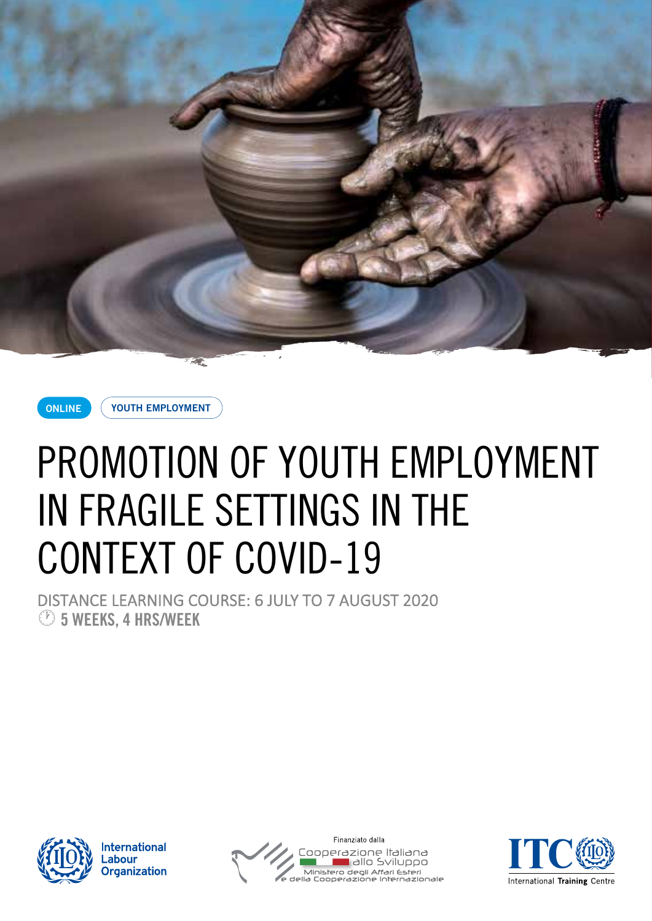



**YOUTH EMPLOYMENT**

# PROMOTION OF YOUTH EMPLOYMENT IN FRAGILE SETTINGS IN THE CONTEXT OF COVID-19

DISTANCE LEARNING COURSE: 6 JULY TO 7 AUGUST 2020 · **5 WEEKS, 4 HRS/WEEK**



**International** .abour **Organization** 



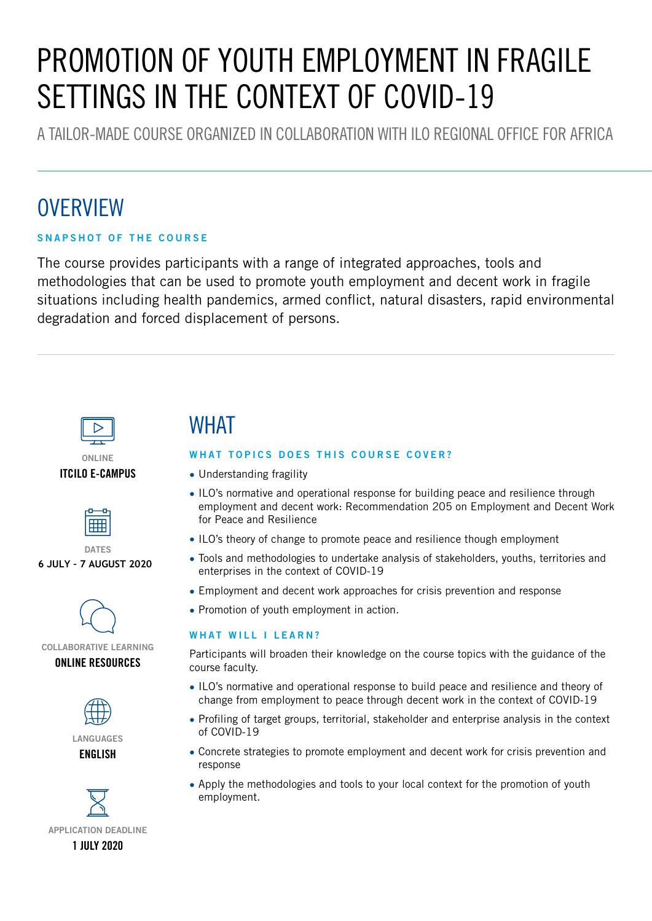# PROMOTION OF YOUTH EMPLOYMENT IN FRAGILE SETTINGS IN THE CONTEXT OF COVID-19

A TAILOR-MADE COURSE ORGANIZED IN COLLABORATION WITH ILO REGIONAL OFFICE FOR AFRICA

# **OVERVIEW**

#### **SNAPSHOT OF THE COURSE**

The course provides participants with a range of integrated approaches, tools and methodologies that can be used to promote youth employment and decent work in fragile situations including health pandemics, armed conflict, natural disasters, rapid environmental degradation and forced displacement of persons.



#### **ONLINE ITCILO E-CAMPUS**



#### **DATES 6 JULY – 7 AUGUST 2020**



### **COLLABORATIVE LEARNING**







# WHAT

#### **WHAT TOPICS DOES THIS COURSE COVER?**

- Understanding fragility
- ILO's normative and operational response for building peace and resilience through employment and decent work: Recommendation 205 on Employment and Decent Work for Peace and Resilience
- ILO's theory of change to promote peace and resilience though employment
- Tools and methodologies to undertake analysis of stakeholders, youths, territories and enterprises in the context of COVID-19
- Employment and decent work approaches for crisis prevention and response
- Promotion of youth employment in action.

#### **WHAT WILL I LEARN?**

Participants will broaden their knowledge on the course topics with the guidance of the course faculty.

- ILO's normative and operational response to build peace and resilience and theory of change from employment to peace through decent work in the context of COVID-19
- Profiling of target groups, territorial, stakeholder and enterprise analysis in the context of COVID-19
- Concrete strategies to promote employment and decent work for crisis prevention and response
- Apply the methodologies and tools to your local context for the promotion of youth employment.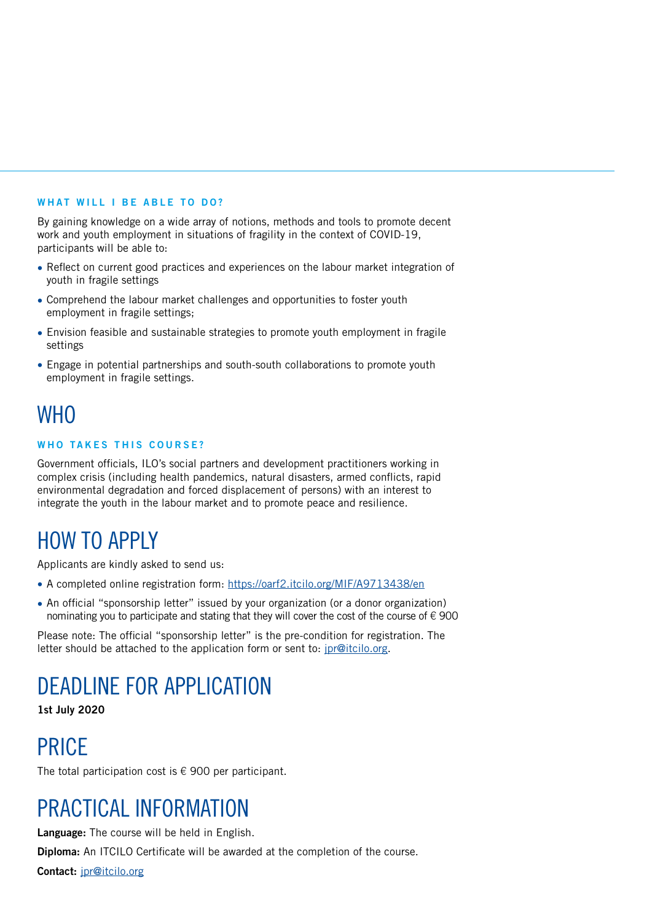#### **WHAT WILL I BE ABLE TO DO?**

By gaining knowledge on a wide array of notions, methods and tools to promote decent work and youth employment in situations of fragility in the context of COVID-19, participants will be able to:

- Reflect on current good practices and experiences on the labour market integration of youth in fragile settings
- Comprehend the labour market challenges and opportunities to foster youth employment in fragile settings;
- Envision feasible and sustainable strategies to promote youth employment in fragile settings
- Engage in potential partnerships and south-south collaborations to promote youth employment in fragile settings.

## **WHO**

#### **WHO TAKES THIS COURSE?**

Government officials, ILO's social partners and development practitioners working in complex crisis (including health pandemics, natural disasters, armed conflicts, rapid environmental degradation and forced displacement of persons) with an interest to integrate the youth in the labour market and to promote peace and resilience.

# HOW TO APPLY

Applicants are kindly asked to send us:

- A completed online registration form: https://oarf2.itcilo.org/MIF/A9713438/en
- An official "sponsorship letter" issued by your organization (or a donor organization) nominating you to participate and stating that they will cover the cost of the course of  $\epsilon$  900

Please note: The official "sponsorship letter" is the pre-condition for registration. The letter should be attached to the application form or sent to: jpr@itcilo.org.

# DEADLINE FOR APPLICATION

**1st July 2020**

# PRICE

The total participation cost is  $\epsilon$  900 per participant.

## PRACTICAL INFORMATION

**Language:** The course will be held in English.

**Diploma:** An ITCILO Certificate will be awarded at the completion of the course.

**Contact:** jpr@itcilo.org